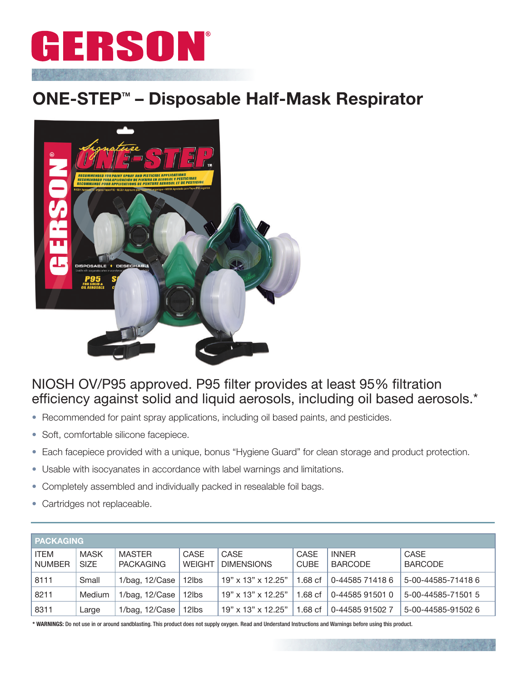

## ONE-STEP<sup>™</sup> – Disposable Half-Mask Respirator



## NIOSH OV/P95 approved. P95 filter provides at least 95% filtration efficiency against solid and liquid aerosols, including oil based aerosols.\*

- Recommended for paint spray applications, including oil based paints, and pesticides.
- Soft, comfortable silicone facepiece.
- Each facepiece provided with a unique, bonus "Hygiene Guard" for clean storage and product protection.
- Usable with isocyanates in accordance with label warnings and limitations.
- Completely assembled and individually packed in resealable foil bags.
- Cartridges not replaceable.

| <b>PACKAGING</b>        |                            |                                   |                       |                                  |                     |                                |                               |
|-------------------------|----------------------------|-----------------------------------|-----------------------|----------------------------------|---------------------|--------------------------------|-------------------------------|
| <b>ITEM</b><br>  NUMBER | <b>MASK</b><br><b>SIZE</b> | <b>MASTER</b><br><b>PACKAGING</b> | CASE<br><b>WEIGHT</b> | <b>CASE</b><br><b>DIMENSIONS</b> | CASE<br><b>CUBE</b> | <b>INNER</b><br><b>BARCODE</b> | <b>CASE</b><br><b>BARCODE</b> |
| 8111                    | Small                      | 1/bag, 12/Case                    | 12lbs                 | 19" x 13" x 12.25"               | 1.68 <sub>cf</sub>  | 0-44585 71418 6                | 5-00-44585-714186             |
| 8211                    | Medium                     | $1/bag$ , $12/Case$               | 12lbs                 | $19"$ x 13" x 12.25"             | 1.68 <sub>cf</sub>  | 0-44585 91501 0                | 5-00-44585-71501 5            |
| 8311                    | Large                      | 1/bag, 12/Case                    | 12lbs                 | $19"$ x $13"$ x $12.25"$         | 1.68 <sub>cf</sub>  | 0-44585 91502 7                | 5-00-44585-91502 6            |

\* WARNINGS: Do not use in or around sandblasting. This product does not supply oxygen. Read and Understand Instructions and Warnings before using this product.